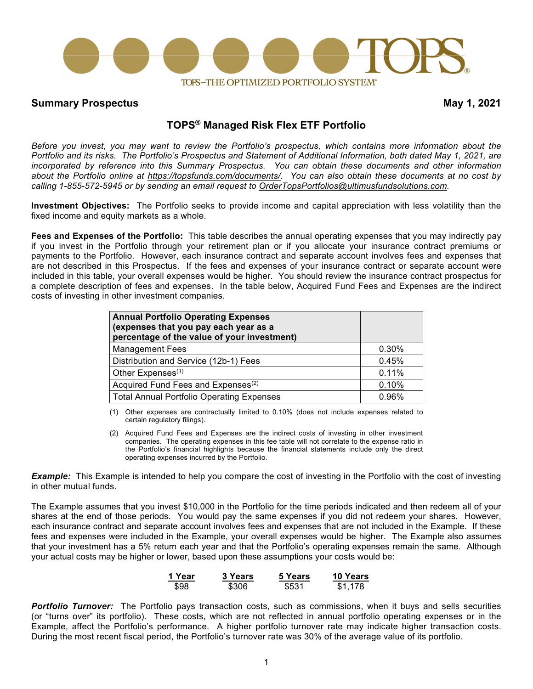

# **Summary Prospectus May 1, 2021**

# **TOPS® Managed Risk Flex ETF Portfolio**

Before you invest, you may want to review the Portfolio's prospectus, which contains more information about the Portfolio and its risks. The Portfolio's Prospectus and Statement of Additional Information, both dated May 1, 2021, are *incorporated by reference into this Summary Prospectus. You can obtain these documents and other information* about the Portfolio online at [https://topsfunds.com/documents/.](https://topsfunds.com/documents/) You can also obtain these documents at no cost by *calling 1-855-572-5945 or by sending an email request to [OrderTopsPortfolios@ultimusfundsolutions.com.](mailto:OrderTopsPortfolios@ultimusfundsolutions.com)*

**Investment Objectives:** The Portfolio seeks to provide income and capital appreciation with less volatility than the fixed income and equity markets as a whole.

**Fees and Expenses of the Portfolio:** This table describes the annual operating expenses that you may indirectly pay if you invest in the Portfolio through your retirement plan or if you allocate your insurance contract premiums or payments to the Portfolio. However, each insurance contract and separate account involves fees and expenses that are not described in this Prospectus. If the fees and expenses of your insurance contract or separate account were included in this table, your overall expenses would be higher. You should review the insurance contract prospectus for a complete description of fees and expenses. In the table below, Acquired Fund Fees and Expenses are the indirect costs of investing in other investment companies.

| <b>Annual Portfolio Operating Expenses</b><br>(expenses that you pay each year as a<br>percentage of the value of your investment) |       |
|------------------------------------------------------------------------------------------------------------------------------------|-------|
| <b>Management Fees</b>                                                                                                             | 0.30% |
| Distribution and Service (12b-1) Fees                                                                                              | 0.45% |
| Other Expenses <sup>(1)</sup>                                                                                                      | 0.11% |
| Acquired Fund Fees and Expenses <sup>(2)</sup>                                                                                     | 0.10% |
| <b>Total Annual Portfolio Operating Expenses</b>                                                                                   | 0.96% |

(1) Other expenses are contractually limited to 0.10% (does not include expenses related to certain regulatory filings).

(2) Acquired Fund Fees and Expenses are the indirect costs of investing in other investment companies. The operating expenses in this fee table will not correlate to the expense ratio in the Portfolio's financial highlights because the financial statements include only the direct operating expenses incurred by the Portfolio.

*Example:* This Example is intended to help you compare the cost of investing in the Portfolio with the cost of investing in other mutual funds.

The Example assumes that you invest \$10,000 in the Portfolio for the time periods indicated and then redeem all of your shares at the end of those periods. You would pay the same expenses if you did not redeem your shares. However, each insurance contract and separate account involves fees and expenses that are not included in the Example. If these fees and expenses were included in the Example, your overall expenses would be higher. The Example also assumes that your investment has a 5% return each year and that the Portfolio's operating expenses remain the same. Although your actual costs may be higher or lower, based upon these assumptions your costs would be:

| 1 Year | 3 Years | 5 Years | <b>10 Years</b> |
|--------|---------|---------|-----------------|
| \$98   | \$306   | \$531   | \$1,178         |

*Portfolio Turnover:* The Portfolio pays transaction costs, such as commissions, when it buys and sells securities (or "turns over" its portfolio). These costs, which are not reflected in annual portfolio operating expenses or in the Example, affect the Portfolio's performance. A higher portfolio turnover rate may indicate higher transaction costs. During the most recent fiscal period, the Portfolio's turnover rate was 30% of the average value of its portfolio.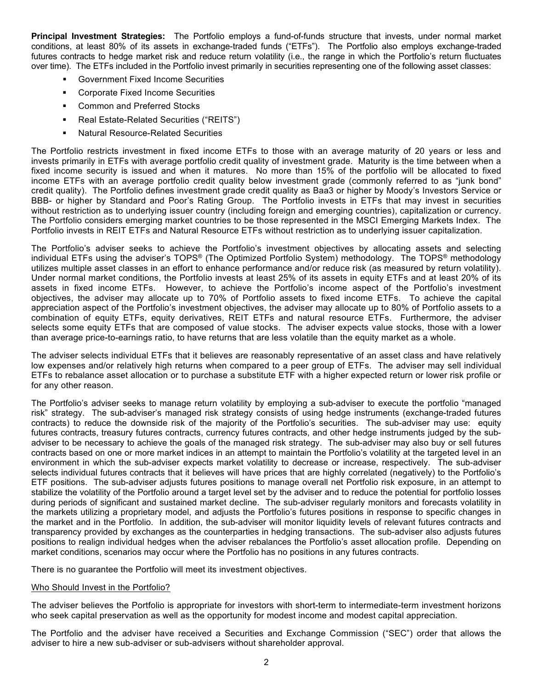**Principal Investment Strategies:** The Portfolio employs a fund-of-funds structure that invests, under normal market conditions, at least 80% of its assets in exchange-traded funds ("ETFs"). The Portfolio also employs exchange-traded futures contracts to hedge market risk and reduce return volatility (i.e., the range in which the Portfolio's return fluctuates over time). The ETFs included in the Portfolio invest primarily in securities representing one of the following asset classes:

- Government Fixed Income Securities
- **EXECORDITE:** Corporate Fixed Income Securities
- **Common and Preferred Stocks**
- Real Estate-Related Securities ("REITS")
- Natural Resource-Related Securities

The Portfolio restricts investment in fixed income ETFs to those with an average maturity of 20 years or less and invests primarily in ETFs with average portfolio credit quality of investment grade. Maturity is the time between when a fixed income security is issued and when it matures. No more than 15% of the portfolio will be allocated to fixed income ETFs with an average portfolio credit quality below investment grade (commonly referred to as "junk bond" credit quality). The Portfolio defines investment grade credit quality as Baa3 or higher by Moody's Investors Service or BBB- or higher by Standard and Poor's Rating Group. The Portfolio invests in ETFs that may invest in securities without restriction as to underlying issuer country (including foreign and emerging countries), capitalization or currency. The Portfolio considers emerging market countries to be those represented in the MSCI Emerging Markets Index. The Portfolio invests in REIT ETFs and Natural Resource ETFs without restriction as to underlying issuer capitalization.

The Portfolio's adviser seeks to achieve the Portfolio's investment objectives by allocating assets and selecting individual ETFs using the adviser's TOPS® (The Optimized Portfolio System) methodology. The TOPS® methodology utilizes multiple asset classes in an effort to enhance performance and/or reduce risk (as measured by return volatility). Under normal market conditions, the Portfolio invests at least 25% of its assets in equity ETFs and at least 20% of its assets in fixed income ETFs. However, to achieve the Portfolio's income aspect of the Portfolio's investment objectives, the adviser may allocate up to 70% of Portfolio assets to fixed income ETFs. To achieve the capital appreciation aspect of the Portfolio's investment objectives, the adviser may allocate up to 80% of Portfolio assets to a combination of equity ETFs, equity derivatives, REIT ETFs and natural resource ETFs. Furthermore, the adviser selects some equity ETFs that are composed of value stocks. The adviser expects value stocks, those with a lower than average price-to-earnings ratio, to have returns that are less volatile than the equity market as a whole.

The adviser selects individual ETFs that it believes are reasonably representative of an asset class and have relatively low expenses and/or relatively high returns when compared to a peer group of ETFs. The adviser may sell individual ETFs to rebalance asset allocation or to purchase a substitute ETF with a higher expected return or lower risk profile or for any other reason.

The Portfolio's adviser seeks to manage return volatility by employing a sub-adviser to execute the portfolio "managed risk" strategy. The sub-adviser's managed risk strategy consists of using hedge instruments (exchange-traded futures contracts) to reduce the downside risk of the majority of the Portfolio's securities. The sub-adviser may use: equity futures contracts, treasury futures contracts, currency futures contracts, and other hedge instruments judged by the subadviser to be necessary to achieve the goals of the managed risk strategy. The sub-adviser may also buy or sell futures contracts based on one or more market indices in an attempt to maintain the Portfolio's volatility at the targeted level in an environment in which the sub-adviser expects market volatility to decrease or increase, respectively. The sub-adviser selects individual futures contracts that it believes will have prices that are highly correlated (negatively) to the Portfolio's ETF positions. The sub-adviser adjusts futures positions to manage overall net Portfolio risk exposure, in an attempt to stabilize the volatility of the Portfolio around a target level set by the adviser and to reduce the potential for portfolio losses during periods of significant and sustained market decline. The sub-adviser regularly monitors and forecasts volatility in the markets utilizing a proprietary model, and adjusts the Portfolio's futures positions in response to specific changes in the market and in the Portfolio. In addition, the sub-adviser will monitor liquidity levels of relevant futures contracts and transparency provided by exchanges as the counterparties in hedging transactions. The sub-adviser also adjusts futures positions to realign individual hedges when the adviser rebalances the Portfolio's asset allocation profile. Depending on market conditions, scenarios may occur where the Portfolio has no positions in any futures contracts.

There is no guarantee the Portfolio will meet its investment objectives.

### Who Should Invest in the Portfolio?

The adviser believes the Portfolio is appropriate for investors with short-term to intermediate-term investment horizons who seek capital preservation as well as the opportunity for modest income and modest capital appreciation.

The Portfolio and the adviser have received a Securities and Exchange Commission ("SEC") order that allows the adviser to hire a new sub-adviser or sub-advisers without shareholder approval.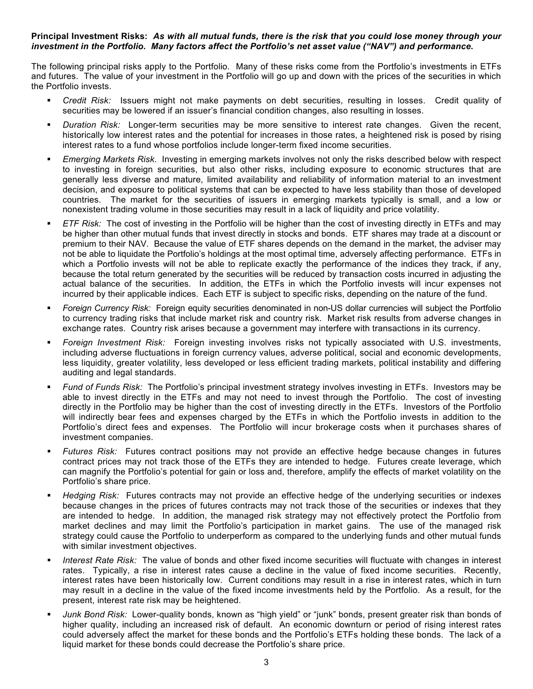## **Principal Investment Risks:** *As with all mutual funds, there is the risk that you could lose money through your investment in the Portfolio. Many factors affect the Portfolio's net asset value ("NAV") and performance.*

The following principal risks apply to the Portfolio. Many of these risks come from the Portfolio's investments in ETFs and futures. The value of your investment in the Portfolio will go up and down with the prices of the securities in which the Portfolio invests.

- *Credit Risk:* Issuers might not make payments on debt securities, resulting in losses. Credit quality of securities may be lowered if an issuer's financial condition changes, also resulting in losses.
- *Duration Risk:* Longer-term securities may be more sensitive to interest rate changes. Given the recent, historically low interest rates and the potential for increases in those rates, a heightened risk is posed by rising interest rates to a fund whose portfolios include longer-term fixed income securities.
- *Emerging Markets Risk.* Investing in emerging markets involves not only the risks described below with respect to investing in foreign securities, but also other risks, including exposure to economic structures that are generally less diverse and mature, limited availability and reliability of information material to an investment decision, and exposure to political systems that can be expected to have less stability than those of developed countries. The market for the securities of issuers in emerging markets typically is small, and a low or nonexistent trading volume in those securities may result in a lack of liquidity and price volatility.
- *ETF Risk:* The cost of investing in the Portfolio will be higher than the cost of investing directly in ETFs and may be higher than other mutual funds that invest directly in stocks and bonds. ETF shares may trade at a discount or premium to their NAV. Because the value of ETF shares depends on the demand in the market, the adviser may not be able to liquidate the Portfolio's holdings at the most optimal time, adversely affecting performance. ETFs in which a Portfolio invests will not be able to replicate exactly the performance of the indices they track, if any, because the total return generated by the securities will be reduced by transaction costs incurred in adjusting the actual balance of the securities. In addition, the ETFs in which the Portfolio invests will incur expenses not incurred by their applicable indices. Each ETF is subject to specific risks, depending on the nature of the fund.
- *Foreign Currency Risk:* Foreign equity securities denominated in non-US dollar currencies will subject the Portfolio to currency trading risks that include market risk and country risk. Market risk results from adverse changes in exchange rates. Country risk arises because a government may interfere with transactions in its currency.
- *Foreign Investment Risk:* Foreign investing involves risks not typically associated with U.S. investments, including adverse fluctuations in foreign currency values, adverse political, social and economic developments, less liquidity, greater volatility, less developed or less efficient trading markets, political instability and differing auditing and legal standards.
- *Fund of Funds Risk:* The Portfolio's principal investment strategy involves investing in ETFs. Investors may be able to invest directly in the ETFs and may not need to invest through the Portfolio. The cost of investing directly in the Portfolio may be higher than the cost of investing directly in the ETFs. Investors of the Portfolio will indirectly bear fees and expenses charged by the ETFs in which the Portfolio invests in addition to the Portfolio's direct fees and expenses. The Portfolio will incur brokerage costs when it purchases shares of investment companies.
- *Futures Risk:* Futures contract positions may not provide an effective hedge because changes in futures contract prices may not track those of the ETFs they are intended to hedge. Futures create leverage, which can magnify the Portfolio's potential for gain or loss and, therefore, amplify the effects of market volatility on the Portfolio's share price.
- *Hedging Risk:* Futures contracts may not provide an effective hedge of the underlying securities or indexes because changes in the prices of futures contracts may not track those of the securities or indexes that they are intended to hedge. In addition, the managed risk strategy may not effectively protect the Portfolio from market declines and may limit the Portfolio's participation in market gains. The use of the managed risk strategy could cause the Portfolio to underperform as compared to the underlying funds and other mutual funds with similar investment objectives.
- *Interest Rate Risk:* The value of bonds and other fixed income securities will fluctuate with changes in interest rates. Typically, a rise in interest rates cause a decline in the value of fixed income securities. Recently, interest rates have been historically low. Current conditions may result in a rise in interest rates, which in turn may result in a decline in the value of the fixed income investments held by the Portfolio. As a result, for the present, interest rate risk may be heightened.
- *Junk Bond Risk:* Lower-quality bonds, known as "high yield" or "junk" bonds, present greater risk than bonds of higher quality, including an increased risk of default. An economic downturn or period of rising interest rates could adversely affect the market for these bonds and the Portfolio's ETFs holding these bonds. The lack of a liquid market for these bonds could decrease the Portfolio's share price.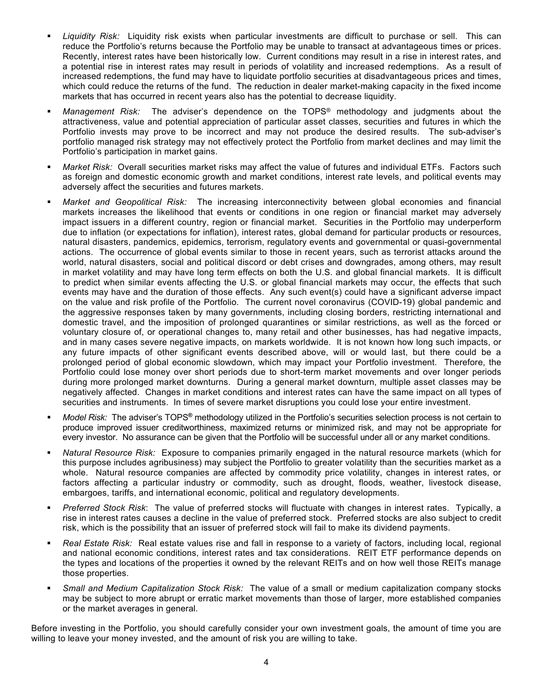- *Liquidity Risk:* Liquidity risk exists when particular investments are difficult to purchase or sell. This can reduce the Portfolio's returns because the Portfolio may be unable to transact at advantageous times or prices. Recently, interest rates have been historically low. Current conditions may result in a rise in interest rates, and a potential rise in interest rates may result in periods of volatility and increased redemptions. As a result of increased redemptions, the fund may have to liquidate portfolio securities at disadvantageous prices and times, which could reduce the returns of the fund. The reduction in dealer market-making capacity in the fixed income markets that has occurred in recent years also has the potential to decrease liquidity.
- *Management Risk:* The adviser's dependence on the TOPS® methodology and judgments about the attractiveness, value and potential appreciation of particular asset classes, securities and futures in which the Portfolio invests may prove to be incorrect and may not produce the desired results. The sub-adviser's portfolio managed risk strategy may not effectively protect the Portfolio from market declines and may limit the Portfolio's participation in market gains.
- *Market Risk:* Overall securities market risks may affect the value of futures and individual ETFs. Factors such as foreign and domestic economic growth and market conditions, interest rate levels, and political events may adversely affect the securities and futures markets.
- *Market and Geopolitical Risk:* The increasing interconnectivity between global economies and financial markets increases the likelihood that events or conditions in one region or financial market may adversely impact issuers in a different country, region or financial market. Securities in the Portfolio may underperform due to inflation (or expectations for inflation), interest rates, global demand for particular products or resources, natural disasters, pandemics, epidemics, terrorism, regulatory events and governmental or quasi-governmental actions. The occurrence of global events similar to those in recent years, such as terrorist attacks around the world, natural disasters, social and political discord or debt crises and downgrades, among others, may result in market volatility and may have long term effects on both the U.S. and global financial markets. It is difficult to predict when similar events affecting the U.S. or global financial markets may occur, the effects that such events may have and the duration of those effects. Any such event(s) could have a significant adverse impact on the value and risk profile of the Portfolio. The current novel coronavirus (COVID-19) global pandemic and the aggressive responses taken by many governments, including closing borders, restricting international and domestic travel, and the imposition of prolonged quarantines or similar restrictions, as well as the forced or voluntary closure of, or operational changes to, many retail and other businesses, has had negative impacts, and in many cases severe negative impacts, on markets worldwide. It is not known how long such impacts, or any future impacts of other significant events described above, will or would last, but there could be a prolonged period of global economic slowdown, which may impact your Portfolio investment. Therefore, the Portfolio could lose money over short periods due to short-term market movements and over longer periods during more prolonged market downturns. During a general market downturn, multiple asset classes may be negatively affected. Changes in market conditions and interest rates can have the same impact on all types of securities and instruments. In times of severe market disruptions you could lose your entire investment.
- *Model Risk:* The adviser's TOPS**®** methodology utilized in the Portfolio's securities selection process is not certain to produce improved issuer creditworthiness, maximized returns or minimized risk, and may not be appropriate for every investor. No assurance can be given that the Portfolio will be successful under all or any market conditions.
- *Natural Resource Risk:* Exposure to companies primarily engaged in the natural resource markets (which for this purpose includes agribusiness) may subject the Portfolio to greater volatility than the securities market as a whole. Natural resource companies are affected by commodity price volatility, changes in interest rates, or factors affecting a particular industry or commodity, such as drought, floods, weather, livestock disease, embargoes, tariffs, and international economic, political and regulatory developments.
- *Preferred Stock Risk*: The value of preferred stocks will fluctuate with changes in interest rates. Typically, a rise in interest rates causes a decline in the value of preferred stock. Preferred stocks are also subject to credit risk, which is the possibility that an issuer of preferred stock will fail to make its dividend payments.
- *Real Estate Risk:* Real estate values rise and fall in response to a variety of factors, including local, regional and national economic conditions, interest rates and tax considerations. REIT ETF performance depends on the types and locations of the properties it owned by the relevant REITs and on how well those REITs manage those properties.
- *Small and Medium Capitalization Stock Risk:* The value of a small or medium capitalization company stocks may be subject to more abrupt or erratic market movements than those of larger, more established companies or the market averages in general.

Before investing in the Portfolio, you should carefully consider your own investment goals, the amount of time you are willing to leave your money invested, and the amount of risk you are willing to take.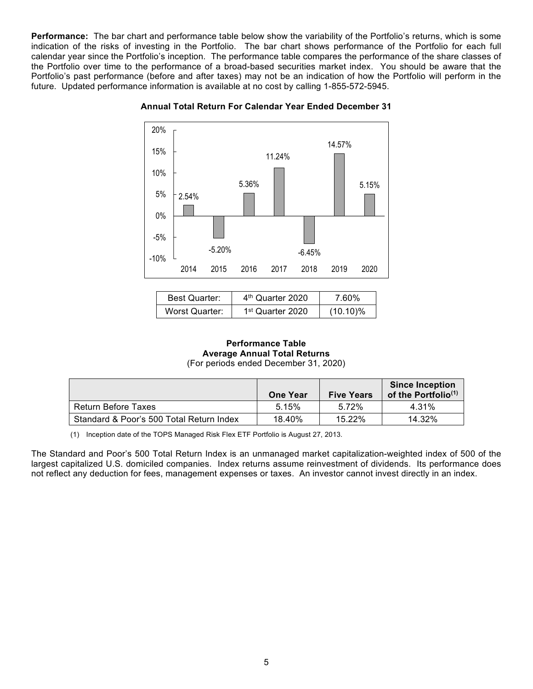**Performance:** The bar chart and performance table below show the variability of the Portfolio's returns, which is some indication of the risks of investing in the Portfolio. The bar chart shows performance of the Portfolio for each full calendar year since the Portfolio's inception. The performance table compares the performance of the share classes of the Portfolio over time to the performance of a broad-based securities market index. You should be aware that the Portfolio's past performance (before and after taxes) may not be an indication of how the Portfolio will perform in the future. Updated performance information is available at no cost by calling 1-855-572-5945.



## **Annual Total Return For Calendar Year Ended December 31**

| <b>Best Quarter:</b> | 4 <sup>th</sup> Quarter 2020 | 7 60%       |
|----------------------|------------------------------|-------------|
| Worst Quarter:       | 1 <sup>st</sup> Quarter 2020 | $(10.10)\%$ |

#### **Performance Table Average Annual Total Returns** (For periods ended December 31, 2020)

|                                          | <b>One Year</b> | <b>Five Years</b> | <b>Since Inception</b><br>of the Portfolio <sup>(1)</sup> |
|------------------------------------------|-----------------|-------------------|-----------------------------------------------------------|
| <b>Return Before Taxes</b>               | 5.15%           | 5.72%             | 4 31%                                                     |
| Standard & Poor's 500 Total Return Index | 18.40%          | 15.22%            | 14.32%                                                    |

(1) Inception date of the TOPS Managed Risk Flex ETF Portfolio is August 27, 2013.

The Standard and Poor's 500 Total Return Index is an unmanaged market capitalization-weighted index of 500 of the largest capitalized U.S. domiciled companies. Index returns assume reinvestment of dividends. Its performance does not reflect any deduction for fees, management expenses or taxes. An investor cannot invest directly in an index.